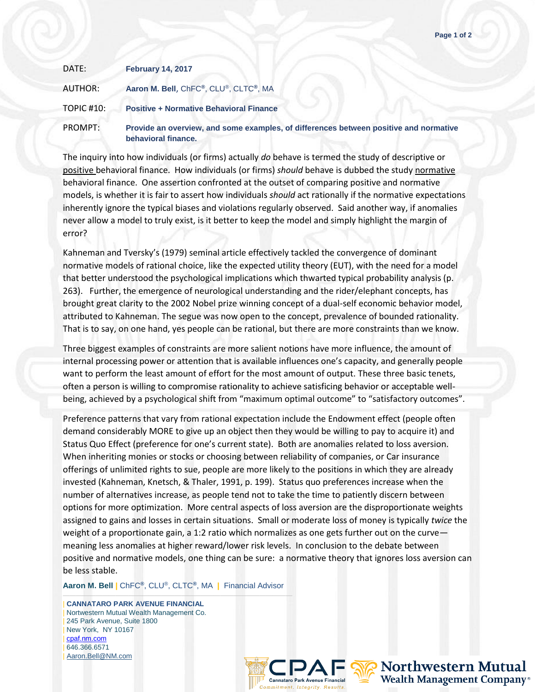| DATE:      | <b>February 14, 2017</b>                                                                                     |
|------------|--------------------------------------------------------------------------------------------------------------|
| AUTHOR:    | Aaron M. Bell, ChFC®, CLU®, CLTC®, MA                                                                        |
| TOPIC #10: | <b>Positive + Normative Behavioral Finance</b>                                                               |
| PROMPT:    | Provide an overview, and some examples, of differences between positive and normative<br>behavioral finance. |

The inquiry into how individuals (or firms) actually *do* behave is termed the study of descriptive or positive behavioral finance. How individuals (or firms) *should* behave is dubbed the study normative behavioral finance. One assertion confronted at the outset of comparing positive and normative models, is whether it is fair to assert how individuals *should* act rationally if the normative expectations inherently ignore the typical biases and violations regularly observed. Said another way, if anomalies never allow a model to truly exist, is it better to keep the model and simply highlight the margin of error?

Kahneman and Tversky's (1979) seminal article effectively tackled the convergence of dominant normative models of rational choice, like the expected utility theory (EUT), with the need for a model that better understood the psychological implications which thwarted typical probability analysis (p. 263). Further, the emergence of neurological understanding and the rider/elephant concepts, has brought great clarity to the 2002 Nobel prize winning concept of a dual-self economic behavior model, attributed to Kahneman. The segue was now open to the concept, prevalence of bounded rationality. That is to say, on one hand, yes people can be rational, but there are more constraints than we know.

Three biggest examples of constraints are more salient notions have more influence, the amount of internal processing power or attention that is available influences one's capacity, and generally people want to perform the least amount of effort for the most amount of output. These three basic tenets, often a person is willing to compromise rationality to achieve satisficing behavior or acceptable wellbeing, achieved by a psychological shift from "maximum optimal outcome" to "satisfactory outcomes".

Preference patterns that vary from rational expectation include the Endowment effect (people often demand considerably MORE to give up an object then they would be willing to pay to acquire it) and Status Quo Effect (preference for one's current state). Both are anomalies related to loss aversion. When inheriting monies or stocks or choosing between reliability of companies, or Car insurance offerings of unlimited rights to sue, people are more likely to the positions in which they are already invested (Kahneman, Knetsch, & Thaler, 1991, p. 199). Status quo preferences increase when the number of alternatives increase, as people tend not to take the time to patiently discern between options for more optimization. More central aspects of loss aversion are the disproportionate weights assigned to gains and losses in certain situations. Small or moderate loss of money is typically *twice* the weight of a proportionate gain, a 1:2 ratio which normalizes as one gets further out on the curve meaning less anomalies at higher reward/lower risk levels. In conclusion to the debate between positive and normative models, one thing can be sure: a normative theory that ignores loss aversion can be less stable.

**Aaron M. Bell |** ChFC**®**, CLU®, CLTC**®**, MA **|** Financial Advisor ———————————————————————————————————

| **CANNATARO PARK AVENUE FINANCIAL** | Nortwestern Mutual Wealth Management Co. 245 Park Avenue, Suite 1800 | New York, NY 10167 | [cpaf.nm.com](http://www.cpaf.nm.com/) | 646.366.6571 | [Aaron.Bell@NM.com](mailto:Aaron.Bell@NM.com)